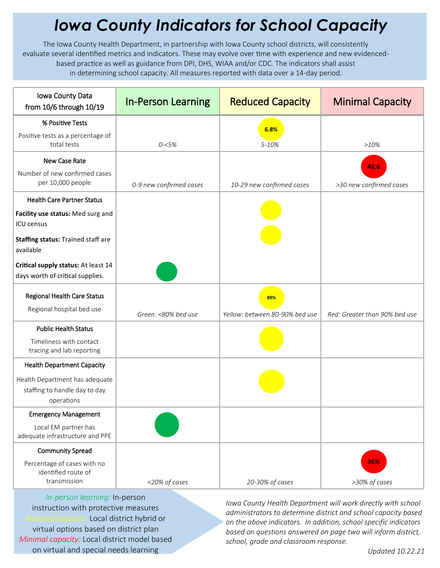## *Iowa County Indicators for School Capacity*

The Iowa County Health Department, in partnership with Iowa County school districts, will consistently evaluate several identified metrics and indicators. These may evolve over time with experience and new evidencedbased practice as well as guidance from DPI, DHS, WIAA and/or CDC. The indicators shall assist in determining school capacity. All measures reported with data over a 14-day period.

| Iowa County Data<br>from 10/6 through 10/19                                         | <b>In-Person Learning</b> | <b>Reduced Capacity</b>               | <b>Minimal Capacity</b>       |
|-------------------------------------------------------------------------------------|---------------------------|---------------------------------------|-------------------------------|
| % Positive Tests                                                                    |                           | 6.8%                                  |                               |
| Positive tests as a percentage of<br>total tests                                    | $0 - 5%$                  | 5-10%                                 | >10%                          |
| New Case Rate                                                                       |                           |                                       | 48.6                          |
| Number of new confirmed cases<br>per 10,000 people                                  | 0-9 new confirmed cases   | 10-29 new confirmed cases             | >30 new confirmed cases       |
| <b>Health Care Partner Status</b>                                                   |                           |                                       |                               |
| Facility use status: Med surg and<br><b>ICU</b> census                              |                           |                                       |                               |
| Staffing status: Trained staff are<br>available                                     |                           |                                       |                               |
| Critical supply status: At least 14<br>days worth of critical supplies.             |                           |                                       |                               |
| Regional Health Care Status<br>Regional hospital bed use                            | Green: <80% bed use       | 89%<br>Yellow: between 80-90% bed use | Red: Greater than 90% bed use |
| <b>Public Health Status</b><br>Timeliness with contact<br>tracing and lab reporting |                           |                                       |                               |
| <b>Health Department Capacity</b>                                                   |                           |                                       |                               |
| Health Department has adequate<br>staffing to handle day to day<br>operations       |                           |                                       |                               |
| <b>Emergency Management</b>                                                         |                           |                                       |                               |
| Local EM partner has<br>adequate infrastructure and PPE                             |                           |                                       |                               |
| <b>Community Spread</b>                                                             |                           |                                       |                               |
| Percentage of cases with no<br>identified route of<br>transmission                  | <20% of cases             | 20-30% of cases                       | 36%<br>>30% of cases          |

*In-person learning:* In-person instruction with protective measures *Reduced capacity:* Local district hybrid or virtual options based on district plan *Minimal capacity:* Local district model based on virtual and special needs learning

*Iowa County Health Department will work directly with school administrators to determine district and school capacity based on the above indicators. In addition, school specific indicators based on questions answered on page two will inform district, school, grade and classroom response.*